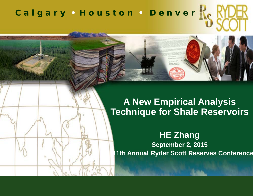# *C a l g a r y • H o u s t o n • D e n v e r*

#### **A New Empirical Analysis Technique for Shale Reservoirs**

**HE Zhang September 2, 2015 11th Annual Ryder Scott Reserves Conference**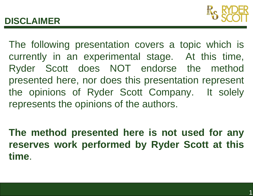## **DISCLAIMER**



The following presentation covers <sup>a</sup> topic which is currently in an experimental stage. At this time, Ryder Scott does NOT endorse the method presented here, nor does this presentation represent the opinions of Ryder Scott Company. It solely represents the opinions of the authors.

**The method presented here is not used for any reserves work performed by Ryder Scott at this time**.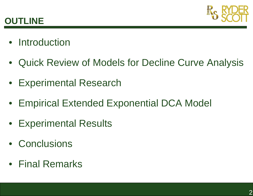

## **OUTLINE**

- Introduction
- Quick Review of Models for Decline Curve Analysis
- Experimental Research
- Empirical Extended Exponential DCA Model
- Experimental Results
- Conclusions
- Final Remarks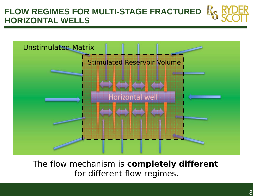#### **FLOW REGIMES FOR MULTI-STAGE FRACTURED HORIZONTAL WELLS**



The flow mechanism is **completely different** for different flow regimes.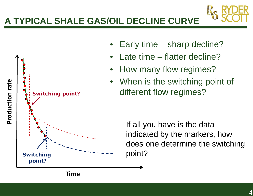## **A TYPICAL SHALE GAS/OIL DECLINE CURVE**



- •Early time – sharp decline?
- •Late time – flatter decline?
- •How many flow regimes?
- $\bullet$ When is the switching point of different flow regimes?

If all you have is the data indicated by the markers, how does one determine the switching point?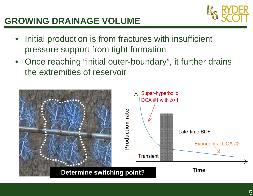### **GROWING DRAINAGE VOLUME**



- $\bullet$  Initial production is from fractures with insufficient pressure support from tight formation
- $\bullet$  Once reaching "initial outer-boundary", it further drains the extremities of reservoir

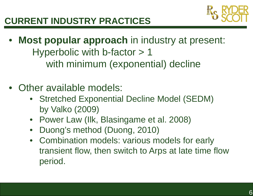

- **Most popular approach** in industry at present: Hyperbolic with b-factor > 1 with minimum (exponential) decline
- Other available models:
	- Stretched Exponential Decline Model (SEDM) by Valko (2009)
	- Power Law (Ilk, Blasingame et al. 2008)
	- $\bullet$ Duong's method (Duong, 2010)
	- Combination models: various models for early transient flow, then switch to Arps at late time flow period.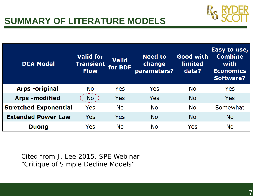

## **SUMMARY OF LITERATURE MODELS**

| <b>DCA Model</b>             | <b>Valid for</b><br><b>Transient</b><br><b>Flow</b> | <b>Valid</b><br>for BDF | <b>Need to</b><br>change<br>parameters? | <b>Good with</b><br><b>limited</b><br>data? | Easy to use,<br><b>Combine</b><br>with<br><b>Economics</b><br><b>Software?</b> |
|------------------------------|-----------------------------------------------------|-------------------------|-----------------------------------------|---------------------------------------------|--------------------------------------------------------------------------------|
| <b>Arps</b> -original        | No                                                  | Yes                     | Yes                                     | No                                          | Yes                                                                            |
| <b>Arps-modified</b>         | No <sup>2</sup>                                     | Yes                     | Yes                                     | <b>No</b>                                   | Yes                                                                            |
| <b>Stretched Exponential</b> | Yes                                                 | <b>No</b>               | <b>No</b>                               | <b>No</b>                                   | Somewhat                                                                       |
| <b>Extended Power Law</b>    | Yes                                                 | Yes                     | <b>No</b>                               | <b>No</b>                                   | <b>No</b>                                                                      |
| <b>Duong</b>                 | Yes                                                 | No                      | <b>No</b>                               | Yes                                         | <b>No</b>                                                                      |

Cited from J. Lee 2015. SPE Webinar "*Critique of Simple Decline Models* "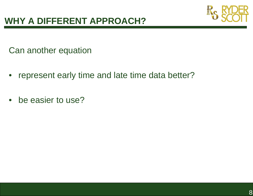

Can another equation

- $\bullet$ represent early time and late time data better?
- be easier to use?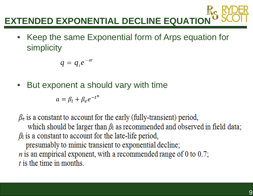

• Keep the same Exponential form of Arps equation for simplicity

$$
q = q_i e^{-at}
$$

 $\bullet$ But exponent a should vary with time

$$
a = \beta_l + \beta_e e^{-t^n}
$$

 $\beta_e$  is a constant to account for the early (fully-transient) period, which should be larger than  $\beta_1$  as recommended and observed in field data;  $\beta_1$  is a constant to account for the late-life period, presumably to mimic transient to exponential decline;  $n$  is an empirical exponent, with a recommended range of 0 to 0.7;  $t$  is the time in months.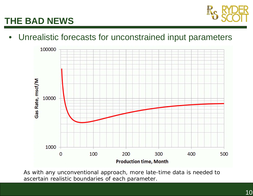

# **THE BAD NEWS**

#### • Unrealistic forecasts for unconstrained input parameters



*As with any unconventional approach, more late-time data is needed to ascertain realistic boundaries of each parameter.*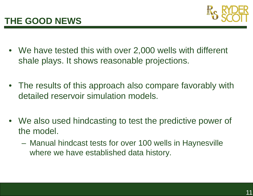

- We have tested this with over 2,000 wells with different shale plays. It shows reasonable projections.
- The results of this approach also compare favorably with detailed reservoir simulation models.
- We also used hindcasting to test the predictive power of the model.
	- Manual hindcast tests for over 100 wells in Haynesville where we have established data history.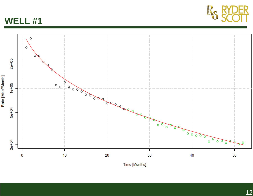



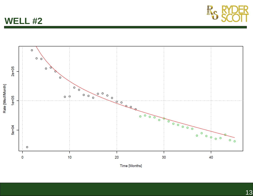**WELL #2**



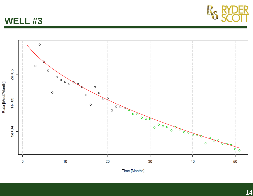



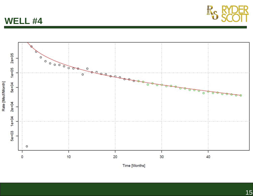



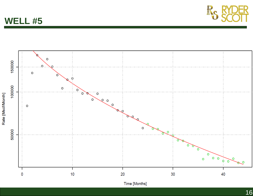





16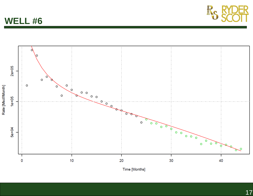



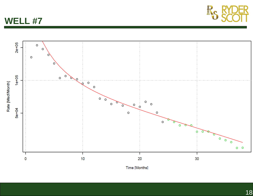



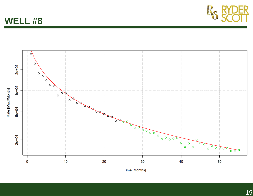**WELL #8**



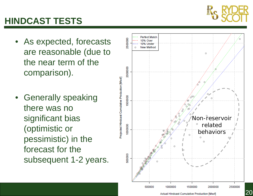

# **HINDCAST TESTS**

- As expected, forecasts are reasonable (due to the near term of the comparison).
- Generally speaking there was no significant bias (optimistic or pessimistic) in the forecast for the subsequent 1-2 years.

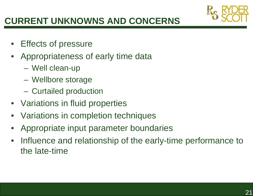

# **CURRENT UNKNOWNS AND CONCERNS**

- $\bullet$ Effects of pressure
- • Appropriateness of early time data
	- Well clean-up
	- Wellbore storage
	- Curtailed production
- Variations in fluid properties
- •Variations in completion techniques
- •Appropriate input parameter boundaries
- $\bullet$  Influence and relationship of the early-time performance to the late-time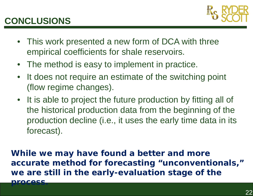## **CONCLUSIONS**



- This work presented a new form of DCA with three empirical coefficients for shale reservoirs.
- The method is easy to implement in practice.
- $\bullet$ It does not require an estimate of the switching point (flow regime changes).
- It is able to project the future production by fitting all of the historical production data from the beginning of the production decline (i.e., it uses the early time data in its forecast).

**While we may have found a better and more accurate method for forecasting "unconventionals," we are still in the early-evaluation stage of the**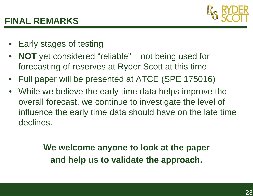

#### **FINAL REMARKS**

- Early stages of testing
- $\bullet$  **NOT** yet considered "reliable" – not being used for forecasting of reserves at Ryder Scott at this time
- Full paper will be presented at ATCE (SPE 175016)
- While we believe the early time data helps improve the overall forecast, we continue to investigate the level of influence the early time data should have on the late time declines.

**We welcome anyone to look at the paper and help us to validate the approach.**